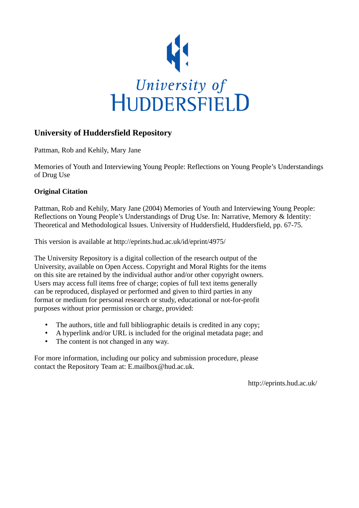

# **University of Huddersfield Repository**

Pattman, Rob and Kehily, Mary Jane

Memories of Youth and Interviewing Young People: Reflections on Young People's Understandings of Drug Use

# **Original Citation**

Pattman, Rob and Kehily, Mary Jane (2004) Memories of Youth and Interviewing Young People: Reflections on Young People's Understandings of Drug Use. In: Narrative, Memory & Identity: Theoretical and Methodological Issues. University of Huddersfield, Huddersfield, pp. 67-75.

This version is available at http://eprints.hud.ac.uk/id/eprint/4975/

The University Repository is a digital collection of the research output of the University, available on Open Access. Copyright and Moral Rights for the items on this site are retained by the individual author and/or other copyright owners. Users may access full items free of charge; copies of full text items generally can be reproduced, displayed or performed and given to third parties in any format or medium for personal research or study, educational or not-for-profit purposes without prior permission or charge, provided:

- The authors, title and full bibliographic details is credited in any copy;
- A hyperlink and/or URL is included for the original metadata page; and
- The content is not changed in any way.

For more information, including our policy and submission procedure, please contact the Repository Team at: E.mailbox@hud.ac.uk.

http://eprints.hud.ac.uk/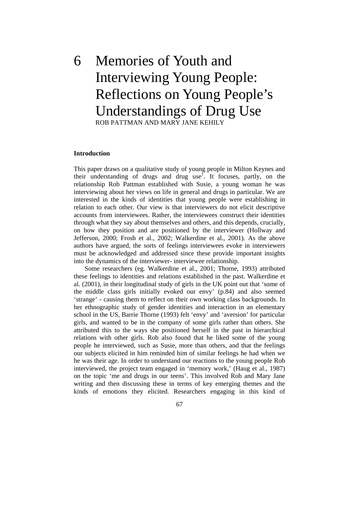# 6 Memories of Youth and Interviewing Young People: Reflections on Young People's Understandings of Drug Use ROB PATTMAN AND MARY JANE KEHILY

#### **Introduction**

This paper draws on a qualitative study of young people in Milton Keynes and their understanding of drugs and drug use<sup>1</sup>. It focuses, partly, on the relationship Rob Pattman established with Susie, a young woman he was interviewing about her views on life in general and drugs in particular. We are interested in the kinds of identities that young people were establishing in relation to each other. Our view is that interviewers do not elicit descriptive accounts from interviewees. Rather, the interviewees construct their identities through what they say about themselves and others, and this depends, crucially, on how they position and are positioned by the interviewer (Hollway and Jefferson, 2000; Frosh et al., 2002; Walkerdine et al., 2001). As the above authors have argued, the sorts of feelings interviewees evoke in interviewers must be acknowledged and addressed since these provide important insights into the dynamics of the interviewer- interviewee relationship.

 Some researchers (eg. Walkerdine et al., 2001; Thorne, 1993) attributed these feelings to identities and relations established in the past. Walkerdine et al. (2001), in their longitudinal study of girls in the UK point out that 'some of the middle class girls initially evoked our envy' (p.84) and also seemed 'strange' - causing them to reflect on their own working class backgrounds. In her ethnographic study of gender identities and interaction in an elementary school in the US, Barrie Thorne (1993) felt 'envy' and 'aversion' for particular girls, and wanted to be in the company of some girls rather than others. She attributed this to the ways she positioned herself in the past in hierarchical relations with other girls. Rob also found that he liked some of the young people he interviewed, such as Susie, more than others, and that the feelings our subjects elicited in him reminded him of similar feelings he had when we he was their age. In order to understand our reactions to the young people Rob interviewed, the project team engaged in 'memory work,' (Haug et al., 1987) on the topic 'me and drugs in our teens'. This involved Rob and Mary Jane writing and then discussing these in terms of key emerging themes and the kinds of emotions they elicited. Researchers engaging in this kind of

67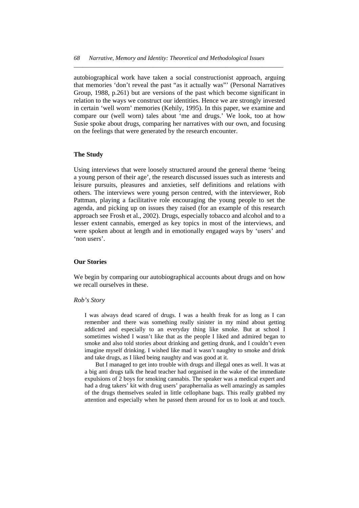autobiographical work have taken a social constructionist approach, arguing that memories 'don't reveal the past "as it actually was"' (Personal Narratives Group, 1988, p.261) but are versions of the past which become significant in relation to the ways we construct our identities. Hence we are strongly invested in certain 'well worn' memories (Kehily, 1995). In this paper, we examine and compare our (well worn) tales about 'me and drugs.' We look, too at how Susie spoke about drugs, comparing her narratives with our own, and focusing on the feelings that were generated by the research encounter.

*\_\_\_\_\_\_\_\_\_\_\_\_\_\_\_\_\_\_\_\_\_\_\_\_\_\_\_\_\_\_\_\_\_\_\_\_\_\_\_\_\_\_\_\_\_\_\_\_\_\_\_\_\_\_\_\_\_\_\_\_\_\_\_\_\_\_\_\_\_* 

# **The Study**

Using interviews that were loosely structured around the general theme 'being a young person of their age', the research discussed issues such as interests and leisure pursuits, pleasures and anxieties, self definitions and relations with others. The interviews were young person centred, with the interviewer, Rob Pattman, playing a facilitative role encouraging the young people to set the agenda, and picking up on issues they raised (for an example of this research approach see Frosh et al., 2002). Drugs, especially tobacco and alcohol and to a lesser extent cannabis, emerged as key topics in most of the interviews, and were spoken about at length and in emotionally engaged ways by 'users' and 'non users'.

# **Our Stories**

We begin by comparing our autobiographical accounts about drugs and on how we recall ourselves in these.

# *Rob's Story*

I was always dead scared of drugs. I was a health freak for as long as I can remember and there was something really sinister in my mind about getting addicted and especially to an everyday thing like smoke. But at school I sometimes wished I wasn't like that as the people I liked and admired began to smoke and also told stories about drinking and getting drunk, and I couldn't even imagine myself drinking. I wished like mad it wasn't naughty to smoke and drink and take drugs, as I liked being naughty and was good at it.

 But I managed to get into trouble with drugs and illegal ones as well. It was at a big anti drugs talk the head teacher had organised in the wake of the immediate expulsions of 2 boys for smoking cannabis. The speaker was a medical expert and had a drug takers' kit with drug users' paraphernalia as well amazingly as samples of the drugs themselves sealed in little cellophane bags. This really grabbed my attention and especially when he passed them around for us to look at and touch.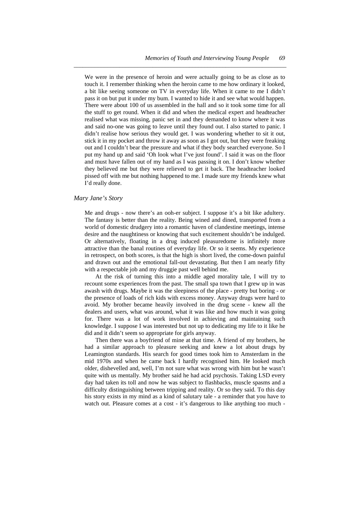We were in the presence of heroin and were actually going to be as close as to touch it. I remember thinking when the heroin came to me how ordinary it looked, a bit like seeing someone on TV in everyday life. When it came to me I didn't pass it on but put it under my bum. I wanted to hide it and see what would happen. There were about 100 of us assembled in the hall and so it took some time for all the stuff to get round. When it did and when the medical expert and headteacher realised what was missing, panic set in and they demanded to know where it was and said no-one was going to leave until they found out. I also started to panic. I didn't realise how serious they would get. I was wondering whether to sit it out, stick it in my pocket and throw it away as soon as I got out, but they were freaking out and I couldn't bear the pressure and what if they body searched everyone. So I put my hand up and said 'Oh look what I've just found'. I said it was on the floor and must have fallen out of my hand as I was passing it on. I don't know whether they believed me but they were relieved to get it back. The headteacher looked pissed off with me but nothing happened to me. I made sure my friends knew what I'd really done.

*\_\_\_\_\_\_\_\_\_\_\_\_\_\_\_\_\_\_\_\_\_\_\_\_\_\_\_\_\_\_\_\_\_\_\_\_\_\_\_\_\_\_\_\_\_\_\_\_\_\_\_\_\_\_\_\_\_\_\_\_\_\_\_\_\_\_\_\_\_\_* 

#### *Mary Jane's Story*

Me and drugs - now there's an ooh-er subject. I suppose it's a bit like adultery. The fantasy is better than the reality. Being wined and dined, transported from a world of domestic drudgery into a romantic haven of clandestine meetings, intense desire and the naughtiness or knowing that such excitement shouldn't be indulged. Or alternatively, floating in a drug induced pleasuredome is infinitely more attractive than the banal routines of everyday life. Or so it seems. My experience in retrospect, on both scores, is that the high is short lived, the come-down painful and drawn out and the emotional fall-out devastating. But then I am nearly fifty with a respectable job and my druggie past well behind me.

 At the risk of turning this into a middle aged morality tale, I will try to recount some experiences from the past. The small spa town that I grew up in was awash with drugs. Maybe it was the sleepiness of the place - pretty but boring - or the presence of loads of rich kids with excess money. Anyway drugs were hard to avoid. My brother became heavily involved in the drug scene - knew all the dealers and users, what was around, what it was like and how much it was going for. There was a lot of work involved in achieving and maintaining such knowledge. I suppose I was interested but not up to dedicating my life to it like he did and it didn't seem so appropriate for girls anyway.

 Then there was a boyfriend of mine at that time. A friend of my brothers, he had a similar approach to pleasure seeking and knew a lot about drugs by Leamington standards. His search for good times took him to Amsterdam in the mid 1970s and when he came back I hardly recognised him. He looked much older, dishevelled and, well, I'm not sure what was wrong with him but he wasn't quite with us mentally. My brother said he had acid psychosis. Taking LSD every day had taken its toll and now he was subject to flashbacks, muscle spasms and a difficulty distinguishing between tripping and reality. Or so they said. To this day his story exists in my mind as a kind of salutary tale - a reminder that you have to watch out. Pleasure comes at a cost - it's dangerous to like anything too much -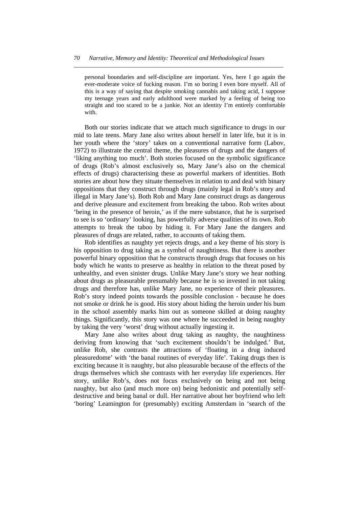*\_\_\_\_\_\_\_\_\_\_\_\_\_\_\_\_\_\_\_\_\_\_\_\_\_\_\_\_\_\_\_\_\_\_\_\_\_\_\_\_\_\_\_\_\_\_\_\_\_\_\_\_\_\_\_\_\_\_\_\_\_\_\_\_\_\_\_\_\_* 

personal boundaries and self-discipline are important. Yes, here I go again the ever-moderate voice of fucking reason. I'm so boring I even bore myself. All of this is a way of saying that despite smoking cannabis and taking acid, I suppose my teenage years and early adulthood were marked by a feeling of being too straight and too scared to be a junkie. Not an identity I'm entirely comfortable with.

 Both our stories indicate that we attach much significance to drugs in our mid to late teens. Mary Jane also writes about herself in later life, but it is in her youth where the 'story' takes on a conventional narrative form (Labov, 1972) to illustrate the central theme, the pleasures of drugs and the dangers of 'liking anything too much'. Both stories focused on the symbolic significance of drugs (Rob's almost exclusively so, Mary Jane's also on the chemical effects of drugs) characterising these as powerful markers of identities. Both stories are about how they situate themselves in relation to and deal with binary oppositions that they construct through drugs (mainly legal in Rob's story and illegal in Mary Jane's). Both Rob and Mary Jane construct drugs as dangerous and derive pleasure and excitement from breaking the taboo. Rob writes about 'being in the presence of heroin,' as if the mere substance, that he is surprised to see is so 'ordinary' looking, has powerfully adverse qualities of its own. Rob attempts to break the taboo by hiding it. For Mary Jane the dangers and pleasures of drugs are related, rather, to accounts of taking them.

 Rob identifies as naughty yet rejects drugs, and a key theme of his story is his opposition to drug taking as a symbol of naughtiness. But there is another powerful binary opposition that he constructs through drugs that focuses on his body which he wants to preserve as healthy in relation to the threat posed by unhealthy, and even sinister drugs. Unlike Mary Jane's story we hear nothing about drugs as pleasurable presumably because he is so invested in not taking drugs and therefore has, unlike Mary Jane, no experience of their pleasures. Rob's story indeed points towards the possible conclusion - because he does not smoke or drink he is good. His story about hiding the heroin under his bum in the school assembly marks him out as someone skilled at doing naughty things. Significantly, this story was one where he succeeded in being naughty by taking the very 'worst' drug without actually ingesting it.

 Mary Jane also writes about drug taking as naughty, the naughtiness deriving from knowing that 'such excitement shouldn't be indulged.' But, unlike Rob, she contrasts the attractions of 'floating in a drug induced pleasuredome' with 'the banal routines of everyday life'. Taking drugs then is exciting because it is naughty, but also pleasurable because of the effects of the drugs themselves which she contrasts with her everyday life experiences. Her story, unlike Rob's, does not focus exclusively on being and not being naughty, but also (and much more on) being hedonistic and potentially selfdestructive and being banal or dull. Her narrative about her boyfriend who left 'boring' Leamington for (presumably) exciting Amsterdam in 'search of the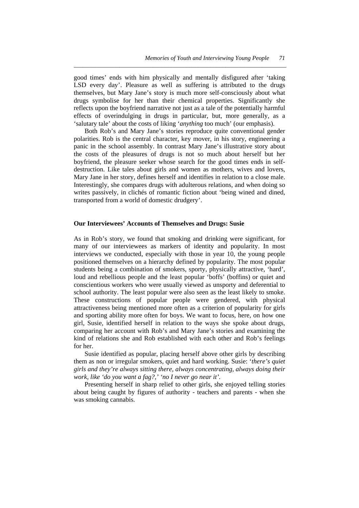good times' ends with him physically and mentally disfigured after 'taking LSD every day'. Pleasure as well as suffering is attributed to the drugs themselves, but Mary Jane's story is much more self-consciously about what drugs symbolise for her than their chemical properties. Significantly she reflects upon the boyfriend narrative not just as a tale of the potentially harmful effects of overindulging in drugs in particular, but, more generally, as a 'salutary tale' about the costs of liking '*anything* too much' (our emphasis).

*\_\_\_\_\_\_\_\_\_\_\_\_\_\_\_\_\_\_\_\_\_\_\_\_\_\_\_\_\_\_\_\_\_\_\_\_\_\_\_\_\_\_\_\_\_\_\_\_\_\_\_\_\_\_\_\_\_\_\_\_\_\_\_\_\_\_\_\_\_\_* 

 Both Rob's and Mary Jane's stories reproduce quite conventional gender polarities. Rob is the central character, key mover, in his story, engineering a panic in the school assembly. In contrast Mary Jane's illustrative story about the costs of the pleasures of drugs is not so much about herself but her boyfriend, the pleasure seeker whose search for the good times ends in selfdestruction. Like tales about girls and women as mothers, wives and lovers, Mary Jane in her story, defines herself and identifies in relation to a close male. Interestingly, she compares drugs with adulterous relations, and when doing so writes passively, in clichés of romantic fiction about 'being wined and dined, transported from a world of domestic drudgery'.

# **Our Interviewees' Accounts of Themselves and Drugs: Susie**

As in Rob's story, we found that smoking and drinking were significant, for many of our interviewees as markers of identity and popularity. In most interviews we conducted, especially with those in year 10, the young people positioned themselves on a hierarchy defined by popularity. The most popular students being a combination of smokers, sporty, physically attractive, 'hard', loud and rebellious people and the least popular 'boffs' (boffins) or quiet and conscientious workers who were usually viewed as unsporty and deferential to school authority. The least popular were also seen as the least likely to smoke. These constructions of popular people were gendered, with physical attractiveness being mentioned more often as a criterion of popularity for girls and sporting ability more often for boys. We want to focus, here, on how one girl, Susie, identified herself in relation to the ways she spoke about drugs, comparing her account with Rob's and Mary Jane's stories and examining the kind of relations she and Rob established with each other and Rob's feelings for her.

 Susie identified as popular, placing herself above other girls by describing them as non or irregular smokers, quiet and hard working. Susie: '*there's quiet girls and they're always sitting there, always concentrating, always doing their work, like 'do you want a fag?,' 'no I never go near it'.*

 Presenting herself in sharp relief to other girls, she enjoyed telling stories about being caught by figures of authority - teachers and parents - when she was smoking cannabis.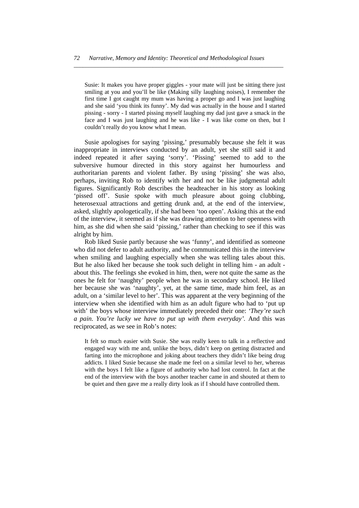*\_\_\_\_\_\_\_\_\_\_\_\_\_\_\_\_\_\_\_\_\_\_\_\_\_\_\_\_\_\_\_\_\_\_\_\_\_\_\_\_\_\_\_\_\_\_\_\_\_\_\_\_\_\_\_\_\_\_\_\_\_\_\_\_\_\_\_\_\_* 

Susie: It makes you have proper giggles - your mate will just be sitting there just smiling at you and you'll be like (Making silly laughing noises), I remember the first time I got caught my mum was having a proper go and I was just laughing and she said 'you think its funny'. My dad was actually in the house and I started pissing - sorry - I started pissing myself laughing my dad just gave a smack in the face and I was just laughing and he was like - I was like come on then, but I couldn't really do you know what I mean.

 Susie apologises for saying 'pissing,' presumably because she felt it was inappropriate in interviews conducted by an adult, yet she still said it and indeed repeated it after saying 'sorry'. 'Pissing' seemed to add to the subversive humour directed in this story against her humourless and authoritarian parents and violent father. By using 'pissing' she was also, perhaps, inviting Rob to identify with her and not be like judgmental adult figures. Significantly Rob describes the headteacher in his story as looking 'pissed off'. Susie spoke with much pleasure about going clubbing, heterosexual attractions and getting drunk and, at the end of the interview, asked, slightly apologetically, if she had been 'too open'. Asking this at the end of the interview, it seemed as if she was drawing attention to her openness with him, as she did when she said 'pissing,' rather than checking to see if this was alright by him.

 Rob liked Susie partly because she was 'funny', and identified as someone who did not defer to adult authority, and he communicated this in the interview when smiling and laughing especially when she was telling tales about this. But he also liked her because she took such delight in telling him - an adult about this. The feelings she evoked in him, then, were not quite the same as the ones he felt for 'naughty' people when he was in secondary school. He liked her because she was 'naughty', yet, at the same time, made him feel, as an adult, on a 'similar level to her'. This was apparent at the very beginning of the interview when she identified with him as an adult figure who had to 'put up with' the boys whose interview immediately preceded their one: *'They're such a pain. You're lucky we have to put up with them everyday'.* And this was reciprocated, as we see in Rob's notes:

It felt so much easier with Susie. She was really keen to talk in a reflective and engaged way with me and, unlike the boys, didn't keep on getting distracted and farting into the microphone and joking about teachers they didn't like being drug addicts. I liked Susie because she made me feel on a similar level to her, whereas with the boys I felt like a figure of authority who had lost control. In fact at the end of the interview with the boys another teacher came in and shouted at them to be quiet and then gave me a really dirty look as if I should have controlled them.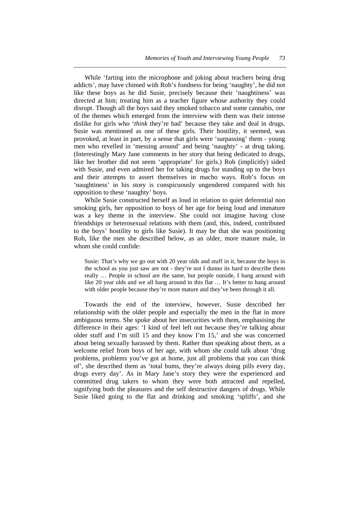While 'farting into the microphone and joking about teachers being drug addicts', may have chimed with Rob's fondness for being 'naughty', he did not like these boys as he did Susie, precisely because their 'naughtiness' was directed at him; treating him as a teacher figure whose authority they could disrupt. Though all the boys said they smoked tobacco and some cannabis, one of the themes which emerged from the interview with them was their intense dislike for girls who '*think* they're bad' because they take and deal in drugs. Susie was mentioned as one of these girls. Their hostility, it seemed, was provoked, at least in part, by a sense that girls were 'surpassing' them - young men who revelled in 'messing around' and being 'naughty' - at drug taking. (Interestingly Mary Jane comments in her story that being dedicated to drugs, like her brother did not seem 'appropriate' for girls.) Rob (implicitly) sided with Susie, and even admired her for taking drugs for standing up to the boys and their attempts to assert themselves in macho ways. Rob's focus on 'naughtiness' in his story is conspicuously ungendered compared with his opposition to these 'naughty' boys.

*\_\_\_\_\_\_\_\_\_\_\_\_\_\_\_\_\_\_\_\_\_\_\_\_\_\_\_\_\_\_\_\_\_\_\_\_\_\_\_\_\_\_\_\_\_\_\_\_\_\_\_\_\_\_\_\_\_\_\_\_\_\_\_\_\_\_\_\_\_\_* 

 While Susie constructed herself as loud in relation to quiet deferential non smoking girls, her opposition to boys of her age for being loud and immature was a key theme in the interview. She could not imagine having close friendships or heterosexual relations with them (and, this, indeed, contributed to the boys' hostility to girls like Susie). It may be that she was positioning Rob, like the men she described below, as an older, more mature male, in whom she could confide:

Susie: That's why we go out with 20 year olds and stuff in it, because the boys in the school as you just saw are not - they're not I dunno its hard to describe them really … People in school are the same, but people outside, I hang around with like 20 year olds and we all hang around in this flat … It's better to hang around with older people because they're more mature and they've been through it all.

 Towards the end of the interview, however, Susie described her relationship with the older people and especially the men in the flat in more ambiguous terms. She spoke about her insecurities with them, emphasising the difference in their ages: 'I kind of feel left out because they're talking about older stuff and I'm still 15 and they know I'm 15,' and she was concerned about being sexually harassed by them. Rather than speaking about them, as a welcome relief from boys of her age, with whom she could talk about 'drug problems, problems you've got at home, just all problems that you can think of', she described them as 'total bums, they're always doing pills every day, drugs every day'. As in Mary Jane's story they were the experienced and committed drug takers to whom they were both attracted and repelled, signifying both the pleasures and the self destructive dangers of drugs. While Susie liked going to the flat and drinking and smoking 'spliffs', and she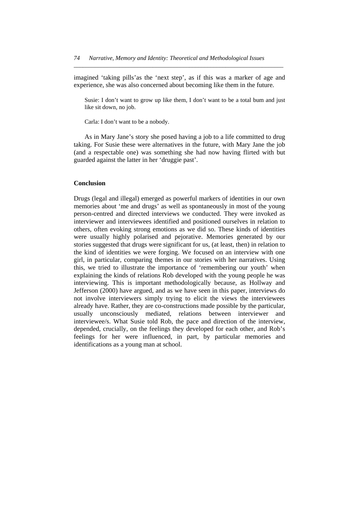imagined 'taking pills'as the 'next step', as if this was a marker of age and experience, she was also concerned about becoming like them in the future.

*\_\_\_\_\_\_\_\_\_\_\_\_\_\_\_\_\_\_\_\_\_\_\_\_\_\_\_\_\_\_\_\_\_\_\_\_\_\_\_\_\_\_\_\_\_\_\_\_\_\_\_\_\_\_\_\_\_\_\_\_\_\_\_\_\_\_\_\_\_* 

Susie: I don't want to grow up like them, I don't want to be a total bum and just like sit down, no job.

Carla: I don't want to be a nobody.

 As in Mary Jane's story she posed having a job to a life committed to drug taking. For Susie these were alternatives in the future, with Mary Jane the job (and a respectable one) was something she had now having flirted with but guarded against the latter in her 'druggie past'.

# **Conclusion**

Drugs (legal and illegal) emerged as powerful markers of identities in our own memories about 'me and drugs' as well as spontaneously in most of the young person-centred and directed interviews we conducted. They were invoked as interviewer and interviewees identified and positioned ourselves in relation to others, often evoking strong emotions as we did so. These kinds of identities were usually highly polarised and pejorative. Memories generated by our stories suggested that drugs were significant for us, (at least, then) in relation to the kind of identities we were forging. We focused on an interview with one girl, in particular, comparing themes in our stories with her narratives. Using this, we tried to illustrate the importance of 'remembering our youth' when explaining the kinds of relations Rob developed with the young people he was interviewing. This is important methodologically because, as Hollway and Jefferson (2000) have argued, and as we have seen in this paper, interviews do not involve interviewers simply trying to elicit the views the interviewees already have. Rather, they are co-constructions made possible by the particular, usually unconsciously mediated, relations between interviewer and interviewee/s. What Susie told Rob, the pace and direction of the interview, depended, crucially, on the feelings they developed for each other, and Rob's feelings for her were influenced, in part, by particular memories and identifications as a young man at school.